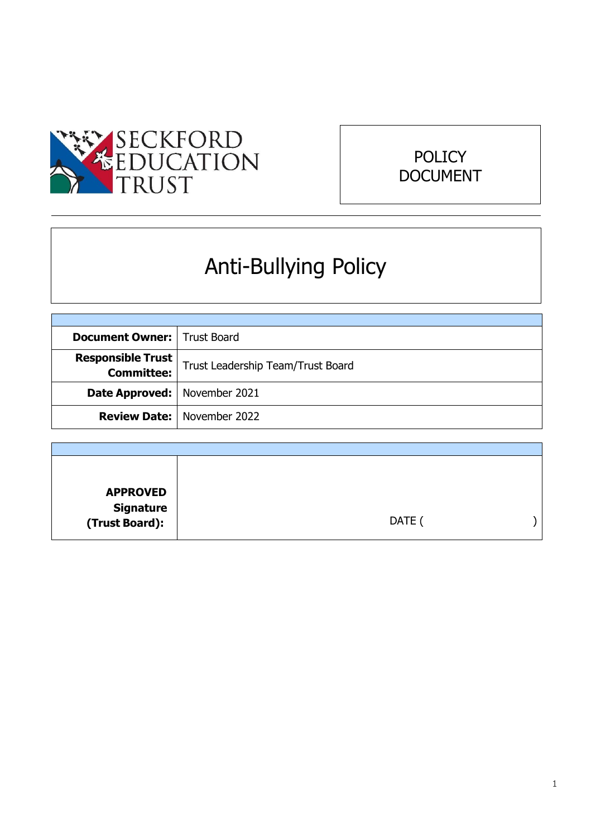



# Anti-Bullying Policy

| <b>Document Owner:</b>   Trust Board   |                                     |
|----------------------------------------|-------------------------------------|
| <b>Responsible Trust</b><br>Committee: | Trust Leadership Team/Trust Board   |
| <b>Date Approved:</b>   November 2021  |                                     |
|                                        | <b>Review Date:</b>   November 2022 |

| <b>APPROVED</b>             |        |  |
|-----------------------------|--------|--|
|                             |        |  |
| Signature<br>:(Trust Board) | DATE ( |  |
|                             |        |  |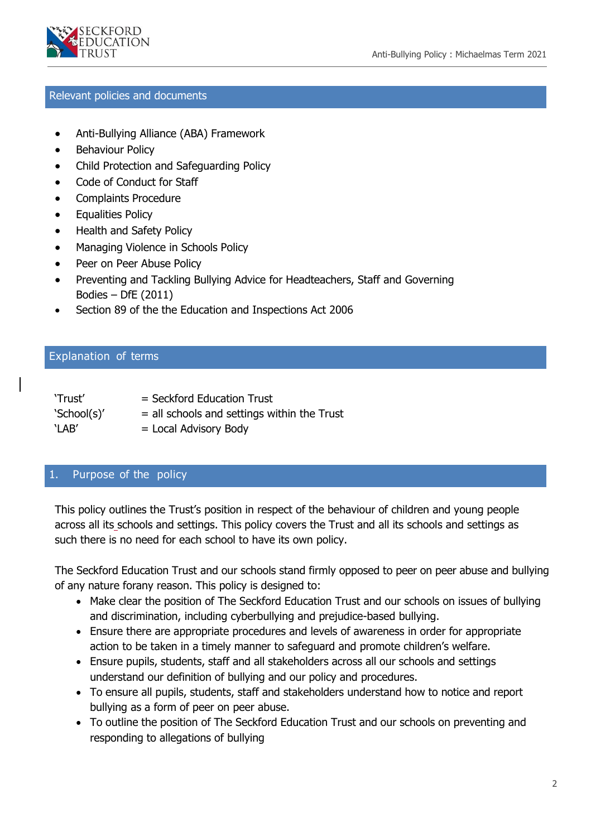

#### Relevant policies and documents

- Anti-Bullying Alliance (ABA) Framework
- Behaviour Policy
- Child Protection and Safeguarding Policy
- Code of Conduct for Staff
- Complaints Procedure
- **•** Equalities Policy
- Health and Safety Policy
- Managing Violence in Schools Policy
- Peer on Peer Abuse Policy
- Preventing and Tackling Bullying Advice for Headteachers, Staff and Governing Bodies – DfE (2011)
- Section 89 of the the Education and Inspections Act 2006

#### Explanation of terms

| 'Trust'     | $=$ Seckford Education Trust                  |
|-------------|-----------------------------------------------|
| 'School(s)' | $=$ all schools and settings within the Trust |
| `LAB'       | $=$ Local Advisory Body                       |

#### 1. Purpose of the policy

This policy outlines the Trust's position in respect of the behaviour of children and young people across all its schools and settings. This policy covers the Trust and all its schools and settings as such there is no need for each school to have its own policy.

The Seckford Education Trust and our schools stand firmly opposed to peer on peer abuse and bullying of any nature forany reason. This policy is designed to:

- Make clear the position of The Seckford Education Trust and our schools on issues of bullying and discrimination, including cyberbullying and prejudice-based bullying.
- Ensure there are appropriate procedures and levels of awareness in order for appropriate action to be taken in a timely manner to safeguard and promote children's welfare.
- Ensure pupils, students, staff and all stakeholders across all our schools and settings understand our definition of bullying and our policy and procedures.
- To ensure all pupils, students, staff and stakeholders understand how to notice and report bullying as a form of peer on peer abuse.
- To outline the position of The Seckford Education Trust and our schools on preventing and responding to allegations of bullying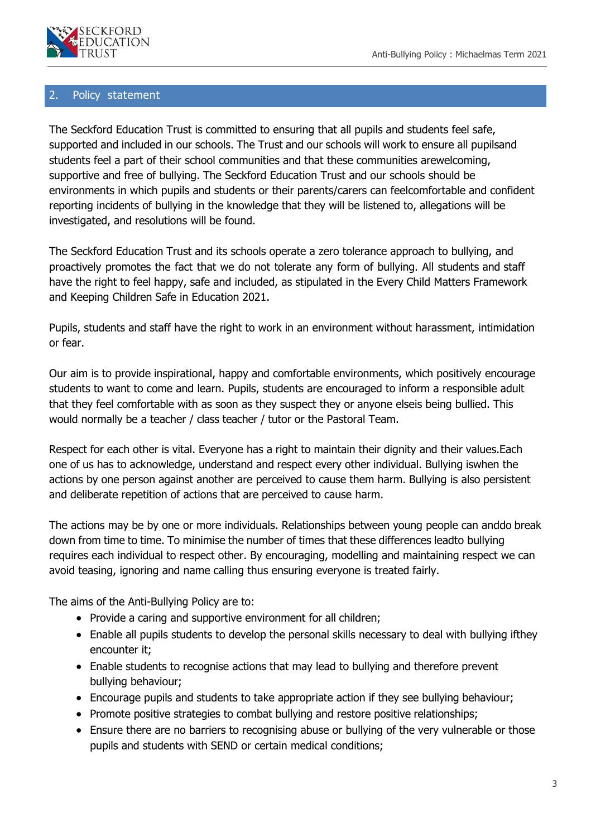

#### 2. Policy statement

The Seckford Education Trust is committed to ensuring that all pupils and students feel safe, supported and included in our schools. The Trust and our schools will work to ensure all pupilsand students feel a part of their school communities and that these communities arewelcoming, supportive and free of bullying. The Seckford Education Trust and our schools should be environments in which pupils and students or their parents/carers can feelcomfortable and confident reporting incidents of bullying in the knowledge that they will be listened to, allegations will be investigated, and resolutions will be found.

The Seckford Education Trust and its schools operate a zero tolerance approach to bullying, and proactively promotes the fact that we do not tolerate any form of bullying. All students and staff have the right to feel happy, safe and included, as stipulated in the Every Child Matters Framework and Keeping Children Safe in Education 2021.

Pupils, students and staff have the right to work in an environment without harassment, intimidation or fear.

Our aim is to provide inspirational, happy and comfortable environments, which positively encourage students to want to come and learn. Pupils, students are encouraged to inform a responsible adult that they feel comfortable with as soon as they suspect they or anyone elseis being bullied. This would normally be a teacher / class teacher / tutor or the Pastoral Team.

Respect for each other is vital. Everyone has a right to maintain their dignity and their values.Each one of us has to acknowledge, understand and respect every other individual. Bullying iswhen the actions by one person against another are perceived to cause them harm. Bullying is also persistent and deliberate repetition of actions that are perceived to cause harm.

The actions may be by one or more individuals. Relationships between young people can anddo break down from time to time. To minimise the number of times that these differences leadto bullying requires each individual to respect other. By encouraging, modelling and maintaining respect we can avoid teasing, ignoring and name calling thus ensuring everyone is treated fairly.

The aims of the Anti-Bullying Policy are to:

- Provide a caring and supportive environment for all children;
- Enable all pupils students to develop the personal skills necessary to deal with bullying ifthey encounter it;
- Enable students to recognise actions that may lead to bullying and therefore prevent bullying behaviour;
- Encourage pupils and students to take appropriate action if they see bullying behaviour;
- Promote positive strategies to combat bullying and restore positive relationships;
- Ensure there are no barriers to recognising abuse or bullying of the very vulnerable or those pupils and students with SEND or certain medical conditions;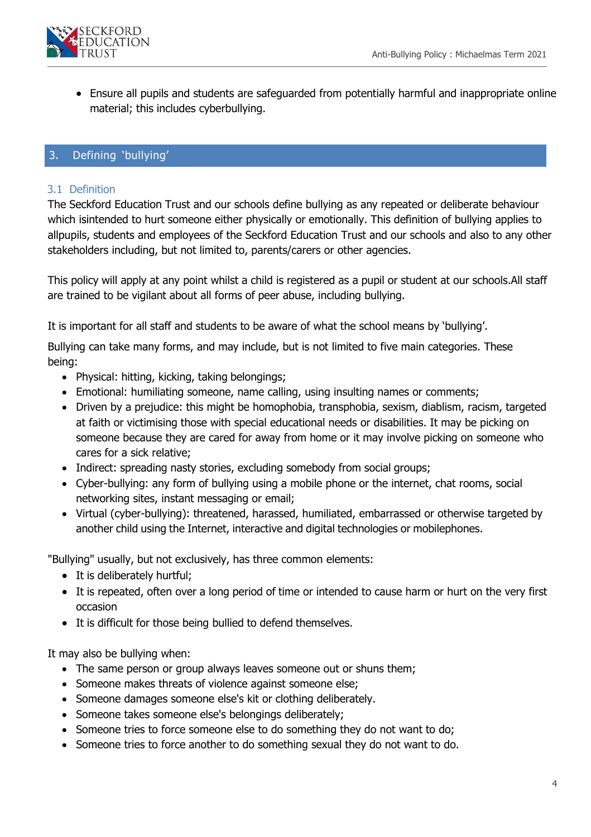

 Ensure all pupils and students are safeguarded from potentially harmful and inappropriate online material; this includes cyberbullying.

# 3. Defining 'bullying'

#### 3.1 Definition

The Seckford Education Trust and our schools define bullying as any repeated or deliberate behaviour which isintended to hurt someone either physically or emotionally. This definition of bullying applies to allpupils, students and employees of the Seckford Education Trust and our schools and also to any other stakeholders including, but not limited to, parents/carers or other agencies.

This policy will apply at any point whilst a child is registered as a pupil or student at our schools.All staff are trained to be vigilant about all forms of peer abuse, including bullying.

It is important for all staff and students to be aware of what the school means by 'bullying'.

Bullying can take many forms, and may include, but is not limited to five main categories. These being:

- Physical: hitting, kicking, taking belongings;
- Emotional: humiliating someone, name calling, using insulting names or comments;
- Driven by a prejudice: this might be homophobia, transphobia, sexism, diablism, racism, targeted at faith or victimising those with special educational needs or disabilities. It may be picking on someone because they are cared for away from home or it may involve picking on someone who cares for a sick relative;
- Indirect: spreading nasty stories, excluding somebody from social groups;
- Cyber-bullying: any form of bullying using a mobile phone or the internet, chat rooms, social networking sites, instant messaging or email;
- Virtual (cyber-bullying): threatened, harassed, humiliated, embarrassed or otherwise targeted by another child using the Internet, interactive and digital technologies or mobilephones.

"Bullying" usually, but not exclusively, has three common elements:

- It is deliberately hurtful;
- It is repeated, often over a long period of time or intended to cause harm or hurt on the very first occasion
- It is difficult for those being bullied to defend themselves.

It may also be bullying when:

- The same person or group always leaves someone out or shuns them;
- Someone makes threats of violence against someone else;
- Someone damages someone else's kit or clothing deliberately.
- Someone takes someone else's belongings deliberately;
- Someone tries to force someone else to do something they do not want to do;
- Someone tries to force another to do something sexual they do not want to do.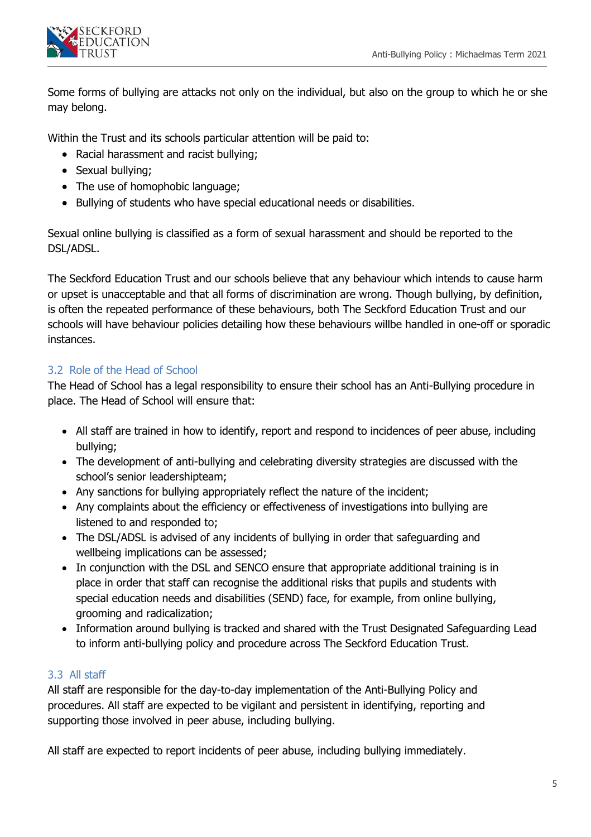

Some forms of bullying are attacks not only on the individual, but also on the group to which he or she may belong.

Within the Trust and its schools particular attention will be paid to:

- Racial harassment and racist bullying;
- Sexual bullying;
- The use of homophobic language;
- Bullying of students who have special educational needs or disabilities.

Sexual online bullying is classified as a form of sexual harassment and should be reported to the DSL/ADSL.

The Seckford Education Trust and our schools believe that any behaviour which intends to cause harm or upset is unacceptable and that all forms of discrimination are wrong. Though bullying, by definition, is often the repeated performance of these behaviours, both The Seckford Education Trust and our schools will have behaviour policies detailing how these behaviours willbe handled in one-off or sporadic instances.

# 3.2 Role of the Head of School

The Head of School has a legal responsibility to ensure their school has an Anti-Bullying procedure in place. The Head of School will ensure that:

- All staff are trained in how to identify, report and respond to incidences of peer abuse, including bullying;
- The development of anti-bullying and celebrating diversity strategies are discussed with the school's senior leadershipteam;
- Any sanctions for bullying appropriately reflect the nature of the incident;
- Any complaints about the efficiency or effectiveness of investigations into bullying are listened to and responded to;
- The DSL/ADSL is advised of any incidents of bullying in order that safeguarding and wellbeing implications can be assessed;
- In conjunction with the DSL and SENCO ensure that appropriate additional training is in place in order that staff can recognise the additional risks that pupils and students with special education needs and disabilities (SEND) face, for example, from online bullying, grooming and radicalization;
- Information around bullying is tracked and shared with the Trust Designated Safeguarding Lead to inform anti-bullying policy and procedure across The Seckford Education Trust.

# 3.3 All staff

All staff are responsible for the day-to-day implementation of the Anti-Bullying Policy and procedures. All staff are expected to be vigilant and persistent in identifying, reporting and supporting those involved in peer abuse, including bullying.

All staff are expected to report incidents of peer abuse, including bullying immediately.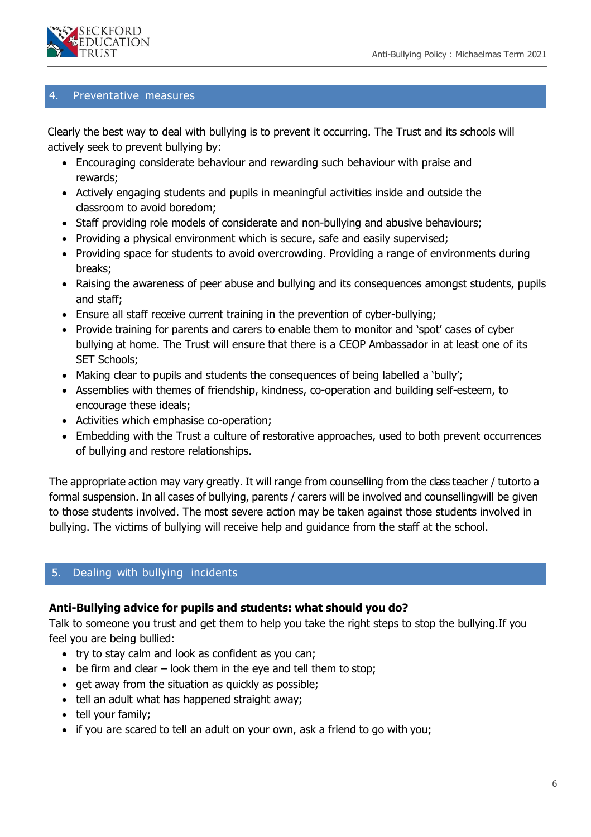

### 4. Preventative measures

Clearly the best way to deal with bullying is to prevent it occurring. The Trust and its schools will actively seek to prevent bullying by:

- Encouraging considerate behaviour and rewarding such behaviour with praise and rewards;
- Actively engaging students and pupils in meaningful activities inside and outside the classroom to avoid boredom;
- Staff providing role models of considerate and non-bullying and abusive behaviours;
- Providing a physical environment which is secure, safe and easily supervised;
- Providing space for students to avoid overcrowding. Providing a range of environments during breaks;
- Raising the awareness of peer abuse and bullying and its consequences amongst students, pupils and staff;
- Ensure all staff receive current training in the prevention of cyber-bullying;
- Provide training for parents and carers to enable them to monitor and 'spot' cases of cyber bullying at home. The Trust will ensure that there is a CEOP Ambassador in at least one of its SET Schools;
- Making clear to pupils and students the consequences of being labelled a 'bully';
- Assemblies with themes of friendship, kindness, co-operation and building self-esteem, to encourage these ideals;
- Activities which emphasise co-operation;
- Embedding with the Trust a culture of restorative approaches, used to both prevent occurrences of bullying and restore relationships.

The appropriate action may vary greatly. It will range from counselling from the class teacher / tutorto a formal suspension. In all cases of bullying, parents / carers will be involved and counsellingwill be given to those students involved. The most severe action may be taken against those students involved in bullying. The victims of bullying will receive help and guidance from the staff at the school.

# 5. Dealing with bullying incidents

### **Anti-Bullying advice for pupils and students: what should you do?**

Talk to someone you trust and get them to help you take the right steps to stop the bullying.If you feel you are being bullied:

- try to stay calm and look as confident as you can;
- $\bullet$  be firm and clear look them in the eye and tell them to stop;
- get away from the situation as quickly as possible;
- tell an adult what has happened straight away;
- tell your family;
- if you are scared to tell an adult on your own, ask a friend to go with you;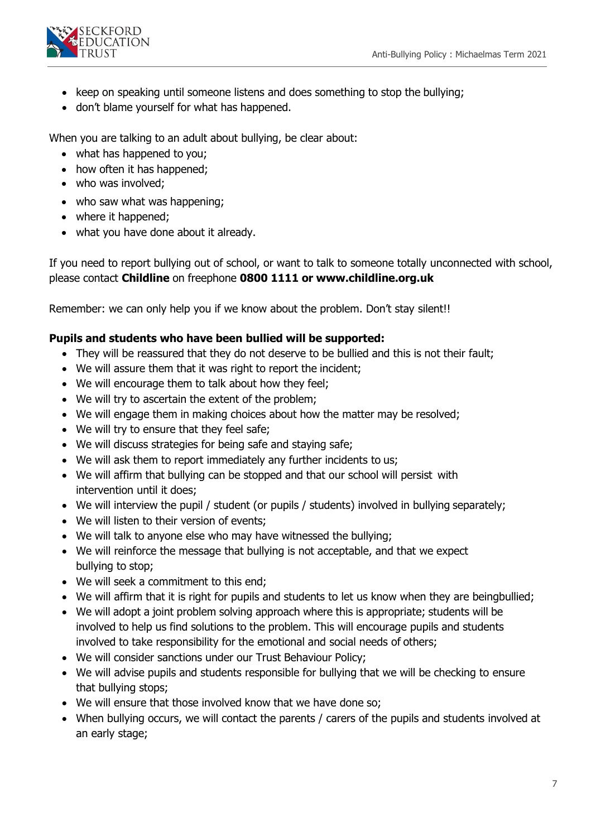

- keep on speaking until someone listens and does something to stop the bullying;
- don't blame yourself for what has happened.

When you are talking to an adult about bullying, be clear about:

- what has happened to you;
- how often it has happened;
- who was involved;
- who saw what was happening;
- where it happened;
- what you have done about it already.

If you need to report bullying out of school, or want to talk to someone totally unconnected with school, please contact **Childline** on freephone **0800 1111 or [www.childline.org.uk](http://www.childline.org.uk/)**

Remember: we can only help you if we know about the problem. Don't stay silent!!

# **Pupils and students who have been bullied will be supported:**

- They will be reassured that they do not deserve to be bullied and this is not their fault;
- We will assure them that it was right to report the incident;
- We will encourage them to talk about how they feel;
- We will try to ascertain the extent of the problem;
- We will engage them in making choices about how the matter may be resolved;
- We will try to ensure that they feel safe;
- We will discuss strategies for being safe and staying safe;
- We will ask them to report immediately any further incidents to us;
- We will affirm that bullying can be stopped and that our school will persist with intervention until it does;
- We will interview the pupil / student (or pupils / students) involved in bullying separately;
- We will listen to their version of events;
- We will talk to anyone else who may have witnessed the bullying;
- We will reinforce the message that bullying is not acceptable, and that we expect bullying to stop;
- We will seek a commitment to this end;
- We will affirm that it is right for pupils and students to let us know when they are beingbullied;
- We will adopt a joint problem solving approach where this is appropriate; students will be involved to help us find solutions to the problem. This will encourage pupils and students involved to take responsibility for the emotional and social needs of others;
- We will consider sanctions under our Trust Behaviour Policy;
- We will advise pupils and students responsible for bullying that we will be checking to ensure that bullying stops;
- We will ensure that those involved know that we have done so;
- When bullying occurs, we will contact the parents / carers of the pupils and students involved at an early stage;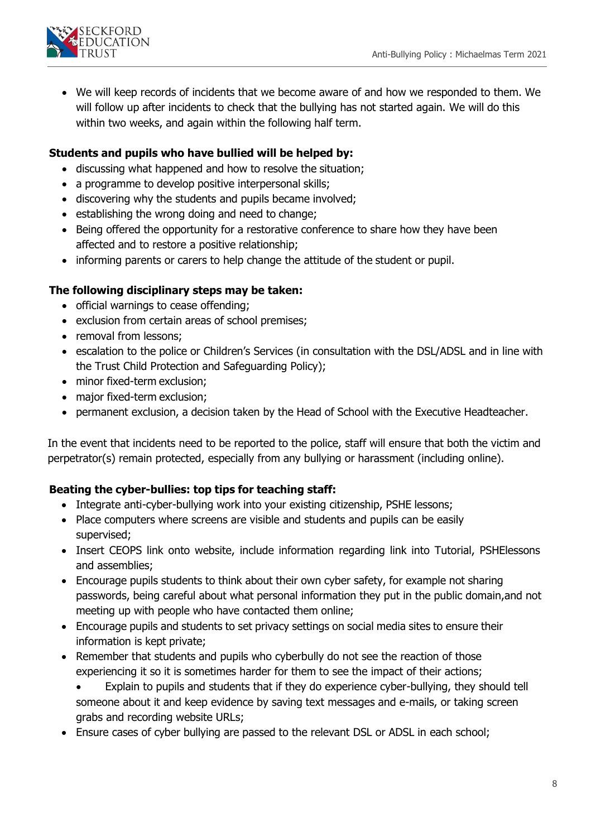

 We will keep records of incidents that we become aware of and how we responded to them. We will follow up after incidents to check that the bullying has not started again. We will do this within two weeks, and again within the following half term.

# **Students and pupils who have bullied will be helped by:**

- discussing what happened and how to resolve the situation;
- a programme to develop positive interpersonal skills;
- discovering why the students and pupils became involved;
- establishing the wrong doing and need to change;
- Being offered the opportunity for a restorative conference to share how they have been affected and to restore a positive relationship;
- informing parents or carers to help change the attitude of the student or pupil.

# **The following disciplinary steps may be taken:**

- official warnings to cease offending;
- exclusion from certain areas of school premises;
- removal from lessons;
- escalation to the police or Children's Services (in consultation with the DSL/ADSL and in line with the Trust Child Protection and Safeguarding Policy);
- minor fixed-term exclusion;
- major fixed-term exclusion;
- permanent exclusion, a decision taken by the Head of School with the Executive Headteacher.

In the event that incidents need to be reported to the police, staff will ensure that both the victim and perpetrator(s) remain protected, especially from any bullying or harassment (including online).

# **Beating the cyber-bullies: top tips for teaching staff:**

- Integrate anti-cyber-bullying work into your existing citizenship, PSHE lessons;
- Place computers where screens are visible and students and pupils can be easily supervised;
- Insert CEOPS link onto website, include information regarding link into Tutorial, PSHElessons and assemblies;
- Encourage pupils students to think about their own cyber safety, for example not sharing passwords, being careful about what personal information they put in the public domain,and not meeting up with people who have contacted them online;
- Encourage pupils and students to set privacy settings on social media sites to ensure their information is kept private;
- Remember that students and pupils who cyberbully do not see the reaction of those experiencing it so it is sometimes harder for them to see the impact of their actions;
	- Explain to pupils and students that if they do experience cyber-bullying, they should tell someone about it and keep evidence by saving text messages and e-mails, or taking screen grabs and recording website URLs;
- Ensure cases of cyber bullying are passed to the relevant DSL or ADSL in each school;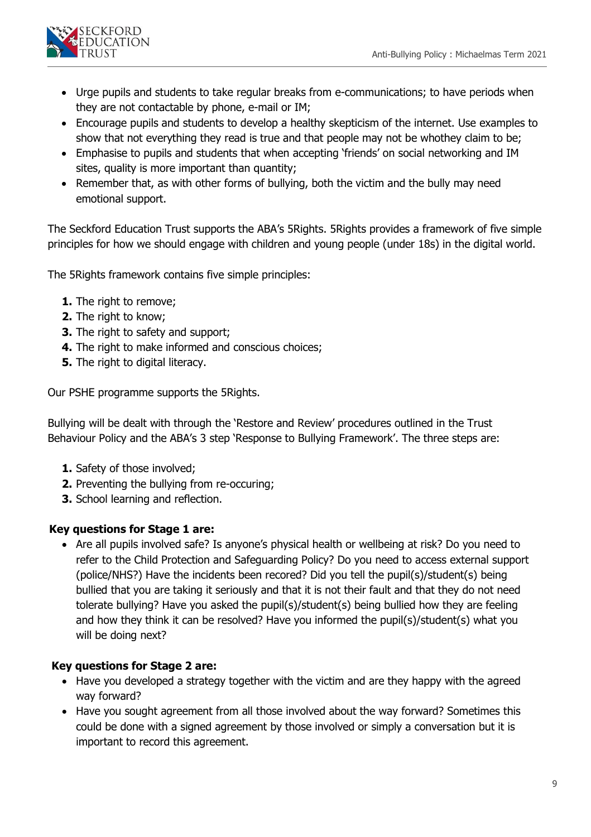

- Urge pupils and students to take regular breaks from e-communications; to have periods when they are not contactable by phone, e-mail or IM;
- Encourage pupils and students to develop a healthy skepticism of the internet. Use examples to show that not everything they read is true and that people may not be whothey claim to be;
- Emphasise to pupils and students that when accepting 'friends' on social networking and IM sites, quality is more important than quantity;
- Remember that, as with other forms of bullying, both the victim and the bully may need emotional support.

The Seckford Education Trust supports the ABA's 5Rights. 5Rights provides a framework of five simple principles for how we should engage with children and young people (under 18s) in the digital world.

The 5Rights framework contains five simple principles:

- **1.** The right to remove;
- **2.** The right to know;
- **3.** The right to safety and support;
- **4.** The right to make informed and conscious choices;
- **5.** The right to digital literacy.

Our PSHE programme supports the 5Rights.

Bullying will be dealt with through the 'Restore and Review' procedures outlined in the Trust Behaviour Policy and the ABA's 3 step 'Response to Bullying Framework'. The three steps are:

- **1.** Safety of those involved;
- **2.** Preventing the bullying from re-occuring;
- **3.** School learning and reflection.

### **Key questions for Stage 1 are:**

• Are all pupils involved safe? Is anyone's physical health or wellbeing at risk? Do you need to refer to the Child Protection and Safeguarding Policy? Do you need to access external support (police/NHS?) Have the incidents been recored? Did you tell the pupil(s)/student(s) being bullied that you are taking it seriously and that it is not their fault and that they do not need tolerate bullying? Have you asked the pupil(s)/student(s) being bullied how they are feeling and how they think it can be resolved? Have you informed the pupil(s)/student(s) what you will be doing next?

### **Key questions for Stage 2 are:**

- Have you developed a strategy together with the victim and are they happy with the agreed way forward?
- Have you sought agreement from all those involved about the way forward? Sometimes this could be done with a signed agreement by those involved or simply a conversation but it is important to record this agreement.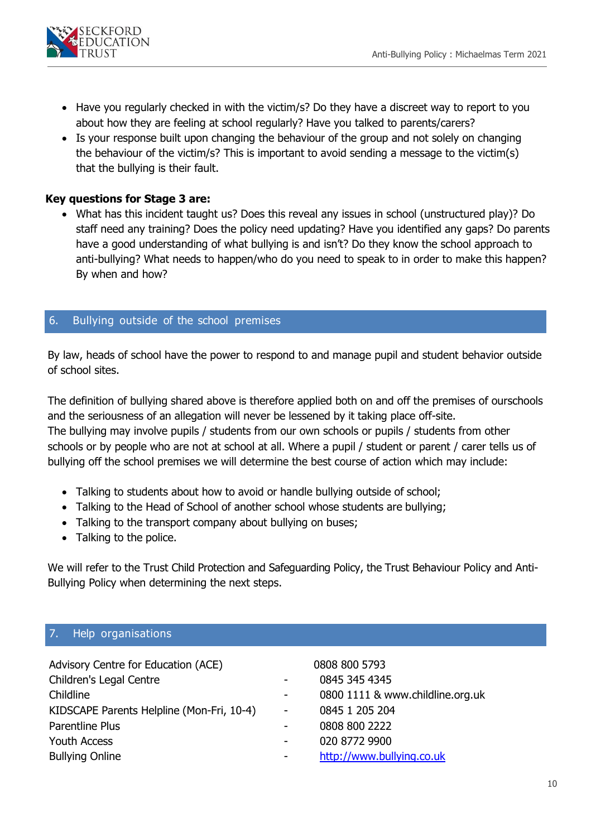

- Have you regularly checked in with the victim/s? Do they have a discreet way to report to you about how they are feeling at school regularly? Have you talked to parents/carers?
- Is your response built upon changing the behaviour of the group and not solely on changing the behaviour of the victim/s? This is important to avoid sending a message to the victim(s) that the bullying is their fault.

# **Key questions for Stage 3 are:**

 What has this incident taught us? Does this reveal any issues in school (unstructured play)? Do staff need any training? Does the policy need updating? Have you identified any gaps? Do parents have a good understanding of what bullying is and isn't? Do they know the school approach to anti-bullying? What needs to happen/who do you need to speak to in order to make this happen? By when and how?

### 6. Bullying outside of the school premises

By law, heads of school have the power to respond to and manage pupil and student behavior outside of school sites.

The definition of bullying shared above is therefore applied both on and off the premises of ourschools and the seriousness of an allegation will never be lessened by it taking place off-site. The bullying may involve pupils / students from our own schools or pupils / students from other schools or by people who are not at school at all. Where a pupil / student or parent / carer tells us of bullying off the school premises we will determine the best course of action which may include:

- Talking to students about how to avoid or handle bullying outside of school;
- Talking to the Head of School of another school whose students are bullying;
- Talking to the transport company about bullying on buses;
- Talking to the police.

We will refer to the Trust Child Protection and Safeguarding Policy, the Trust Behaviour Policy and Anti-Bullying Policy when determining the next steps.

### 7. Help organisations

| Advisory Centre for Education (ACE)       |                | 0808 800 5793                    |
|-------------------------------------------|----------------|----------------------------------|
| Children's Legal Centre                   |                | 0845 345 4345                    |
| Childline                                 | $\blacksquare$ | 0800 1111 & www.childline.org.uk |
| KIDSCAPE Parents Helpline (Mon-Fri, 10-4) |                | 0845 1 205 204                   |
| Parentline Plus                           |                | 0808 800 2222                    |
| <b>Youth Access</b>                       |                | 020 8772 9900                    |
| <b>Bullying Online</b>                    |                | http://www.bullying.co.uk        |